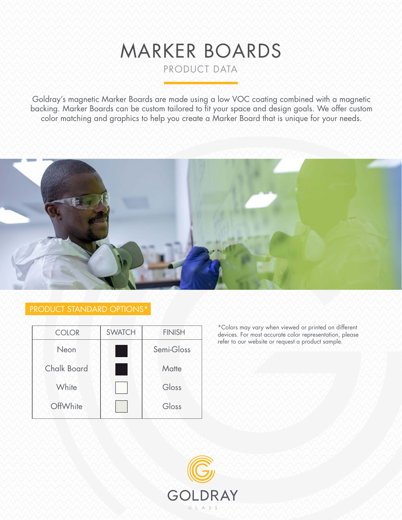# MARKER BOARDS

PRODUCT DATA

Goldray's magnetic Marker Boards are made using a low VOC coating combined with a magnetic backing. Marker Boards can be custom tailored to fit your space and design goals. We offer custom color matching and graphics to help you create a Marker Board that is unique for your needs.



# PRODUCT STANDARD OPTIONS\*

| <b>COLOR</b>       | <b>SWATCH</b> | <b>FINISH</b> |  |  |
|--------------------|---------------|---------------|--|--|
| Neon               |               | Semi-Gloss    |  |  |
| <b>Chalk Board</b> |               | Matte         |  |  |
| White              |               | Gloss         |  |  |
| OffWhite           |               | Gloss         |  |  |

\*Colors may vary when viewed or printed on different devices. For most accurate color representation, please refer to our website or request a product sample.

![](_page_0_Picture_7.jpeg)